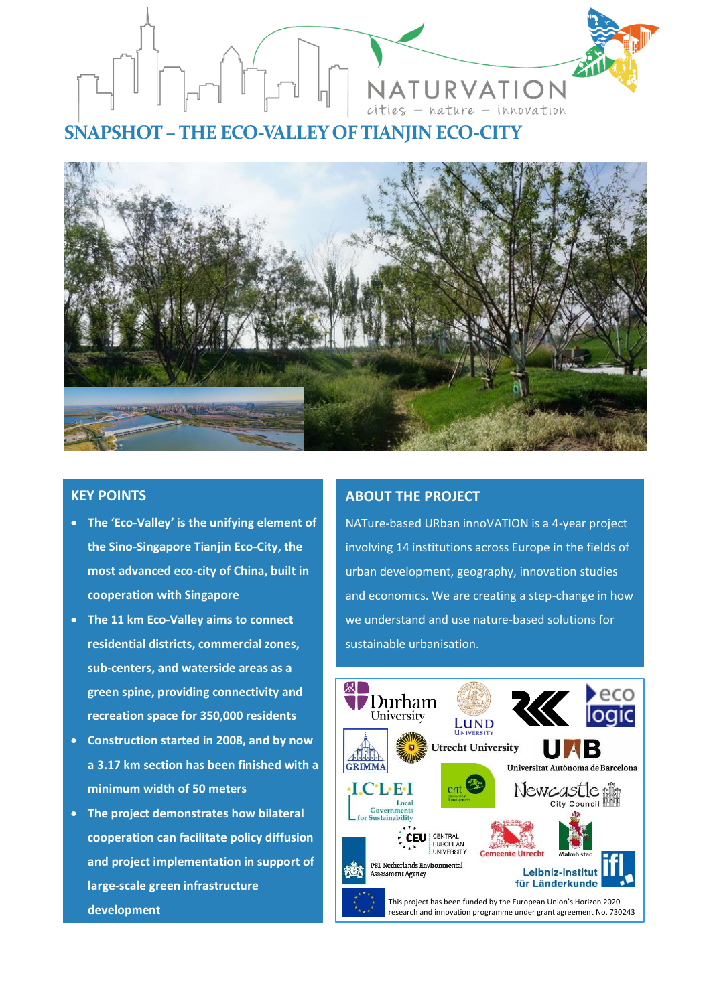

**SNAPSHOT – THE ECO-VALLEY OF TIANJIN ECO-CITY**



## **KEY POINTS**

- **The 'Eco-Valley' is the unifying element of the Sino-Singapore Tianjin Eco-City, the most advanced eco-city of China, built in cooperation with Singapore**
- **The 11 km Eco-Valley aims to connect residential districts, commercial zones, sub-centers, and waterside areas as a green spine, providing connectivity and recreation space for 350,000 residents**
- **Construction started in 2008, and by now a 3.17 km section has been finished with a minimum width of 50 meters**
- **The project demonstrates how bilateral cooperation can facilitate policy diffusion and project implementation in support of large-scale green infrastructure development**

# **ABOUT THE PROJECT**

NATure-based URban innoVATION is a 4-year project involving 14 institutions across Europe in the fields of urban development, geography, innovation studies and economics. We are creating a step-change in how we understand and use nature-based solutions for sustainable urbanisation.

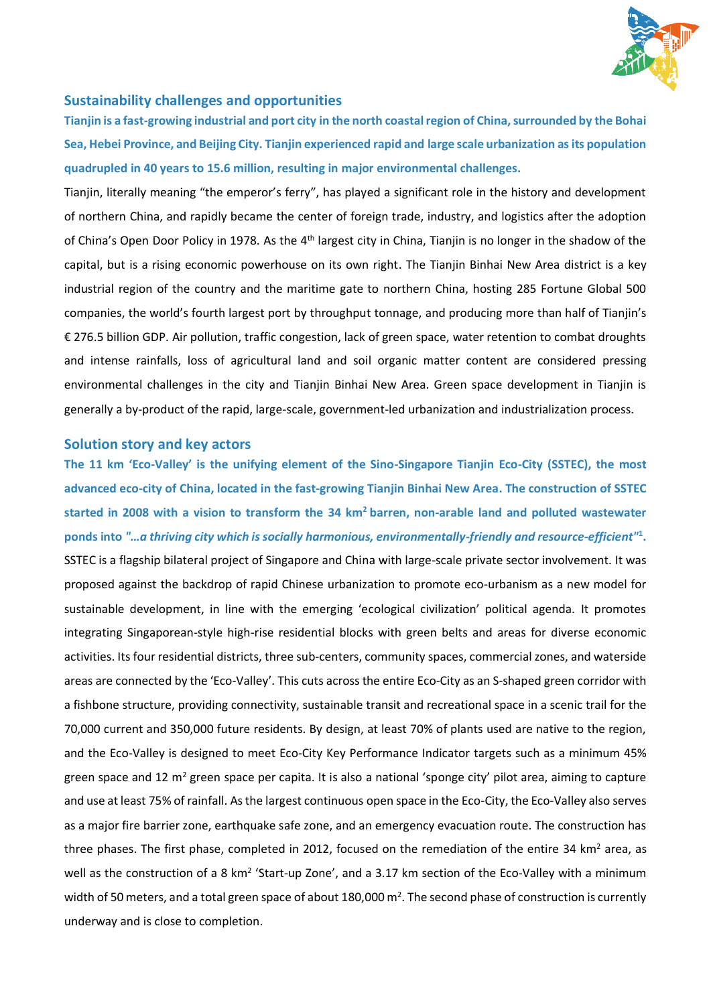

#### **Sustainability challenges and opportunities**

**Tianjin is a fast-growing industrial and port city in the north coastal region of China, surrounded by the Bohai Sea, Hebei Province, and Beijing City. Tianjin experienced rapid and large scale urbanization as its population quadrupled in 40 years to 15.6 million, resulting in major environmental challenges.**

Tianjin, literally meaning "the emperor's ferry", has played a significant role in the history and development of northern China, and rapidly became the center of foreign trade, industry, and logistics after the adoption of China's Open Door Policy in 1978. As the 4<sup>th</sup> largest city in China, Tianjin is no longer in the shadow of the capital, but is a rising economic powerhouse on its own right. The Tianjin Binhai New Area district is a key industrial region of the country and the maritime gate to northern China, hosting 285 Fortune Global 500 companies, the world's fourth largest port by throughput tonnage, and producing more than half of Tianjin's € 276.5 billion GDP. Air pollution, traffic congestion, lack of green space, water retention to combat droughts and intense rainfalls, loss of agricultural land and soil organic matter content are considered pressing environmental challenges in the city and Tianjin Binhai New Area. Green space development in Tianjin is generally a by-product of the rapid, large-scale, government-led urbanization and industrialization process.

#### **Solution story and key actors**

**The 11 km 'Eco-Valley' is the unifying element of the Sino-Singapore Tianjin Eco-City (SSTEC), the most advanced eco-city of China, located in the fast-growing Tianjin Binhai New Area. The construction of SSTEC started in 2008 with a vision to transform the 34 km<sup>2</sup> barren, non-arable land and polluted wastewater ponds into** *"…a thriving city which is socially harmonious, environmentally-friendly and resource-efficient"***<sup>1</sup> .** SSTEC is a flagship bilateral project of Singapore and China with large-scale private sector involvement. It was proposed against the backdrop of rapid Chinese urbanization to promote eco-urbanism as a new model for sustainable development, in line with the emerging 'ecological civilization' political agenda. It promotes integrating Singaporean-style high-rise residential blocks with green belts and areas for diverse economic activities. Its four residential districts, three sub-centers, community spaces, commercial zones, and waterside areas are connected by the 'Eco-Valley'. This cuts across the entire Eco-City as an S-shaped green corridor with a fishbone structure, providing connectivity, sustainable transit and recreational space in a scenic trail for the 70,000 current and 350,000 future residents. By design, at least 70% of plants used are native to the region, and the Eco-Valley is designed to meet Eco-City Key Performance Indicator targets such as a minimum 45% green space and 12  $m^2$  green space per capita. It is also a national 'sponge city' pilot area, aiming to capture and use at least 75% of rainfall. As the largest continuous open space in the Eco-City, the Eco-Valley also serves as a major fire barrier zone, earthquake safe zone, and an emergency evacuation route. The construction has three phases. The first phase, completed in 2012, focused on the remediation of the entire 34 km<sup>2</sup> area, as well as the construction of a 8 km<sup>2</sup> 'Start-up Zone', and a 3.17 km section of the Eco-Valley with a minimum width of 50 meters, and a total green space of about 180,000  $m^2$ . The second phase of construction is currently underway and is close to completion.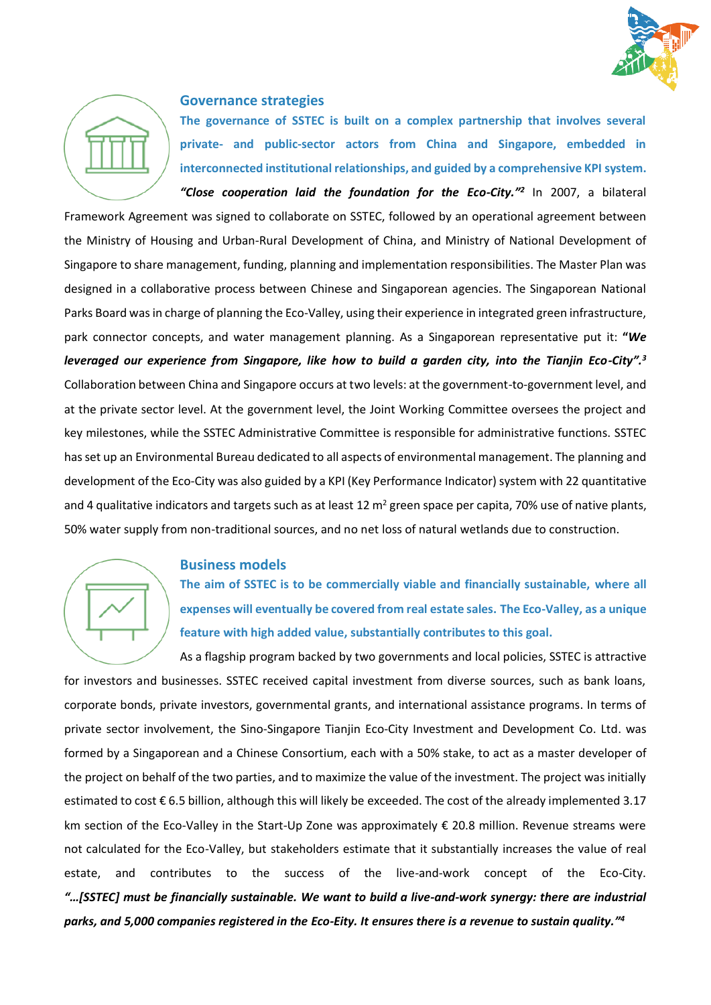



#### **Governance strategies**

**The governance of SSTEC is built on a complex partnership that involves several private- and public-sector actors from China and Singapore, embedded in interconnected institutional relationships, and guided by a comprehensive KPI system.** *"Close cooperation laid the foundation for the Eco-City."<sup>2</sup>* In 2007, a bilateral

Framework Agreement was signed to collaborate on SSTEC, followed by an operational agreement between the Ministry of Housing and Urban-Rural Development of China, and Ministry of National Development of Singapore to share management, funding, planning and implementation responsibilities. The Master Plan was designed in a collaborative process between Chinese and Singaporean agencies. The Singaporean National Parks Board was in charge of planning the Eco-Valley, using their experience in integrated green infrastructure, park connector concepts, and water management planning. As a Singaporean representative put it: **"***We leveraged our experience from Singapore, like how to build a garden city, into the Tianjin Eco-City".<sup>3</sup>* Collaboration between China and Singapore occurs at two levels: at the government-to-government level, and at the private sector level. At the government level, the Joint Working Committee oversees the project and key milestones, while the SSTEC Administrative Committee is responsible for administrative functions. SSTEC has set up an Environmental Bureau dedicated to all aspects of environmental management. The planning and development of the Eco-City was also guided by a KPI (Key Performance Indicator) system with 22 quantitative and 4 qualitative indicators and targets such as at least 12  $m^2$  green space per capita, 70% use of native plants, 50% water supply from non-traditional sources, and no net loss of natural wetlands due to construction.



#### **Business models**

**The aim of SSTEC is to be commercially viable and financially sustainable, where all expenses will eventually be covered from real estate sales. The Eco-Valley, as a unique feature with high added value, substantially contributes to this goal.**

As a flagship program backed by two governments and local policies, SSTEC is attractive for investors and businesses. SSTEC received capital investment from diverse sources, such as bank loans, corporate bonds, private investors, governmental grants, and international assistance programs. In terms of private sector involvement, the Sino-Singapore Tianjin Eco-City Investment and Development Co. Ltd. was formed by a Singaporean and a Chinese Consortium, each with a 50% stake, to act as a master developer of the project on behalf of the two parties, and to maximize the value of the investment. The project was initially estimated to cost € 6.5 billion, although this will likely be exceeded. The cost of the already implemented 3.17 km section of the Eco-Valley in the Start-Up Zone was approximately € 20.8 million. Revenue streams were not calculated for the Eco-Valley, but stakeholders estimate that it substantially increases the value of real estate, and contributes to the success of the live-and-work concept of the Eco-City. *"…[SSTEC] must be financially sustainable. We want to build a live-and-work synergy: there are industrial parks, and 5,000 companies registered in the Eco-Eity. It ensures there is a revenue to sustain quality." 4*